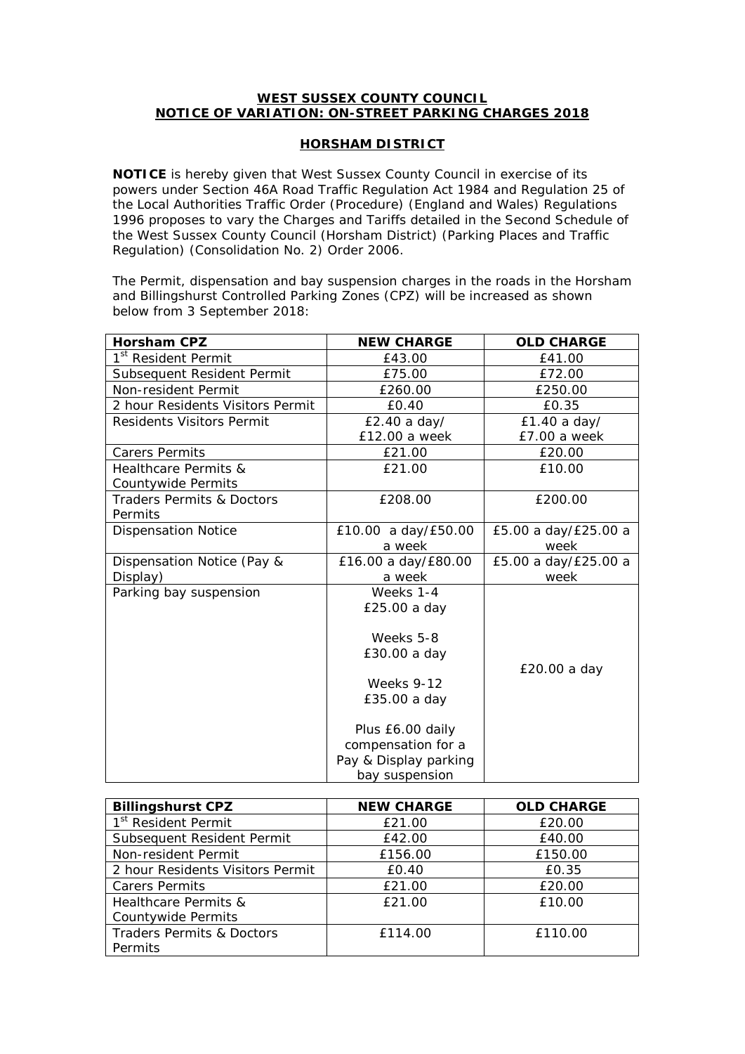## **WEST SUSSEX COUNTY COUNCIL NOTICE OF VARIATION: ON-STREET PARKING CHARGES 2018**

## **HORSHAM DISTRICT**

**NOTICE** is hereby given that West Sussex County Council in exercise of its powers under Section 46A Road Traffic Regulation Act 1984 and Regulation 25 of the Local Authorities Traffic Order (Procedure) (England and Wales) Regulations 1996 proposes to vary the Charges and Tariffs detailed in the Second Schedule of the West Sussex County Council (Horsham District) (Parking Places and Traffic Regulation) (Consolidation No. 2) Order 2006.

The Permit, dispensation and bay suspension charges in the roads in the Horsham and Billingshurst Controlled Parking Zones (CPZ) will be increased as shown below from 3 September 2018:

| <b>Horsham CPZ</b>                   | <b>NEW CHARGE</b>                                                                 | <b>OLD CHARGE</b>    |  |
|--------------------------------------|-----------------------------------------------------------------------------------|----------------------|--|
| 1 <sup>st</sup> Resident Permit      | £43.00                                                                            | £41.00               |  |
| Subsequent Resident Permit           | £75.00                                                                            | £72.00               |  |
| Non-resident Permit                  | £260.00                                                                           | £250.00              |  |
| 2 hour Residents Visitors Permit     | £0.40                                                                             | £0.35                |  |
| <b>Residents Visitors Permit</b>     | £2.40 a day/<br>£1.40 a day/                                                      |                      |  |
|                                      | £12.00 a week                                                                     | £7.00 a week         |  |
| <b>Carers Permits</b>                | £21.00                                                                            | £20.00               |  |
| <b>Healthcare Permits &amp;</b>      | £21.00                                                                            | £10.00               |  |
| Countywide Permits                   |                                                                                   |                      |  |
| <b>Traders Permits &amp; Doctors</b> | £208.00                                                                           | £200.00              |  |
| Permits                              |                                                                                   |                      |  |
| <b>Dispensation Notice</b>           | £10.00 a day/£50.00                                                               | £5.00 a day/£25.00 a |  |
|                                      | a week                                                                            | week                 |  |
| Dispensation Notice (Pay &           | £16.00 a day/£80.00                                                               | £5.00 a day/£25.00 a |  |
| Display)                             | a week                                                                            | week                 |  |
| Parking bay suspension               | Weeks 1-4                                                                         |                      |  |
|                                      | £25.00 a day                                                                      |                      |  |
|                                      | Weeks 5-8<br>£30.00 a day                                                         |                      |  |
|                                      | <b>Weeks 9-12</b><br>£35.00 a day                                                 | £20.00 a day         |  |
|                                      | Plus £6.00 daily<br>compensation for a<br>Pay & Display parking<br>bay suspension |                      |  |

| <b>Billingshurst CPZ</b>         | <b>NEW CHARGE</b> | <b>OLD CHARGE</b> |
|----------------------------------|-------------------|-------------------|
| 1 <sup>st</sup> Resident Permit  | £21.00            | £20.00            |
| Subsequent Resident Permit       | £42.00            | £40.00            |
| Non-resident Permit              | £156.00           | £150.00           |
| 2 hour Residents Visitors Permit | £0.40             | £0.35             |
| <b>Carers Permits</b>            | £21.00            | £20.00            |
| Healthcare Permits &             | £21.00            | £10.00            |
| Countywide Permits               |                   |                   |
| Traders Permits & Doctors        | £114.00           | £110.00           |
| Permits                          |                   |                   |